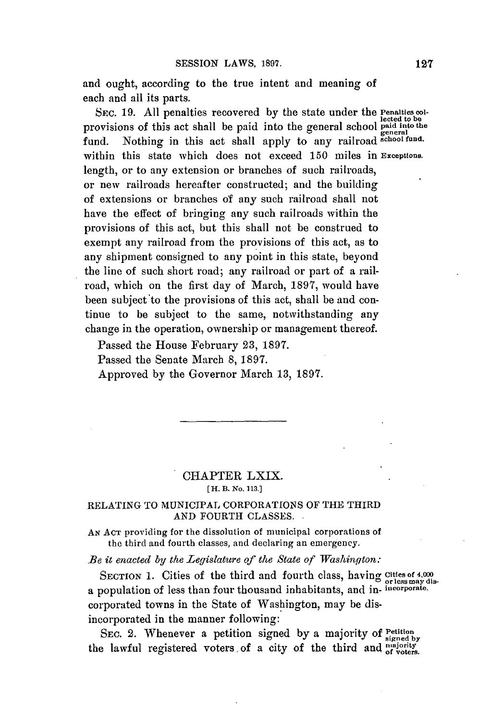and ought, according to the true intent and meaning of each and all its parts.

**SEC. 19. All** penalties recovered **by** the state under the **Penalties collected to be**<br>
provisions of this act shall be paid into the general school paid into the<br>
general school paid into the general school paid into the general fund. Nothing in this act shall apply to any railroad **school fund.** within this state which does not exceed **150** miles in **Exceptions.** length, or to any extension or branches of such railroads, or new railroads hereafter constructed; and the building of extensions or branches of any such railroad shall not have the effect of bringing any such railroads within the provisions of this act, but this shall not be construed to exempt any railroad from the provisions of this act, as to any shipment consigned to any point in this state, beyond the line of such short road; any railroad or part of a railroad, which on the first day of March, **1897,** would have been subject'to the provisions of this act, shall be and continue to be subject to the same, notwithstanding any change in the operation, ownership or management thereof.

Passed the House February **23, 1897.**

Passed the Senate March **8, 1897.**

Approved **by** the Governor March **13, 1897.**

## CHAPTER **LXIX. [H. B. No. 113.]**

## **RELATING** TO MUNICIPAL CORPORATIONS OF THE THIRD **AND** FOURTH **CLASSES.**

**AN ACT** providing for the dissolution of municipal corporations of the third and fourth classes, and declaring an emergency.

*Be it enacted by the Legislature of the State of Washington:*

SECTION 1. Cities of the third and fourth class, having Cities of 4,000 or less may disa population of less than four thousand inhabitants, and in- **incorporate.** corporated towns in the State of Washington, may be disincorporated in the manner following:

SEC. 2. Whenever a petition signed by a majority of **Petition** is signed by the lawful registered voters of a city of the third and *majority* of voters.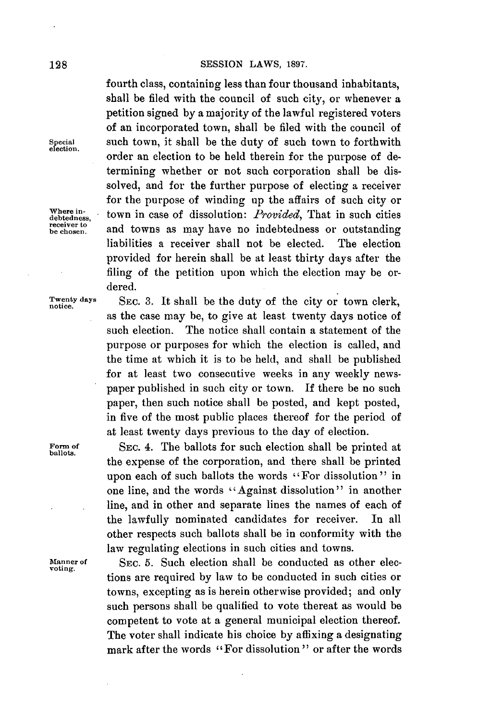fourth class, containing less than four thousand inhabitants, shall be filed with the council of such city, or whenever a petition signed **by** a majority of the lawful registered voters of an incorporated town, shall be filed with the council of such town, it shall be the duty of such town to forthwith order an election to be held therein for the purpose of determining whether or not such corporation shall be dissolved, and for the further purpose of electing a receiver for the purpose of winding up the affairs of such city or Where in-<br>debtedness, town in case of dissolution: *Provided*, That in such cities and towns as may have no indebtedness or outstanding liabilities a receiver shall not be elected. The election provided for herein shall be at least thirty days after the filing of the petition upon which the election may be ordered.

**Twenty** 

debtedness,<br>receiver to<br>be chosen.

SEC. 3. It shall be the duty of the city or town clerk, as the case may be, to give at least twenty days notice of such election. The notice shall contain a statement of the purpose or purposes for which the election is called, and the time at which it is to be held, and shall be published for at least two consecutive weeks in any weekly newspaper published in such city or town. **If** there be no such paper, then such notice shall be posted, and kept posted, in five of the most public places thereof for the period of at least twenty days previous to the day of election.

Form of **SEC. 4.** The ballots for such election shall be printed at ballots. the expense of the corporation, and there shall be printed upon each of such ballots the words "For dissolution" in one line, and the words "Against dissolution" in another line, and in other and separate lines the names of each of the lawfully nominated candidates for receiver. In all other respects such ballots shall be in conformity with the law regulating elections in such cities and towns.

**Manner of SEC. 5.** Such election shall be conducted as other elec- **voting.** tions are required **by** law to be conducted in such cities or towns, excepting as is herein otherwise provided; and only such persons shall be qualified to vote thereat as would be competent to vote at a general municipal election thereof. The voter shall indicate his choice **by** affixing a designating mark after the words "For dissolution **"** or after the words

**election.**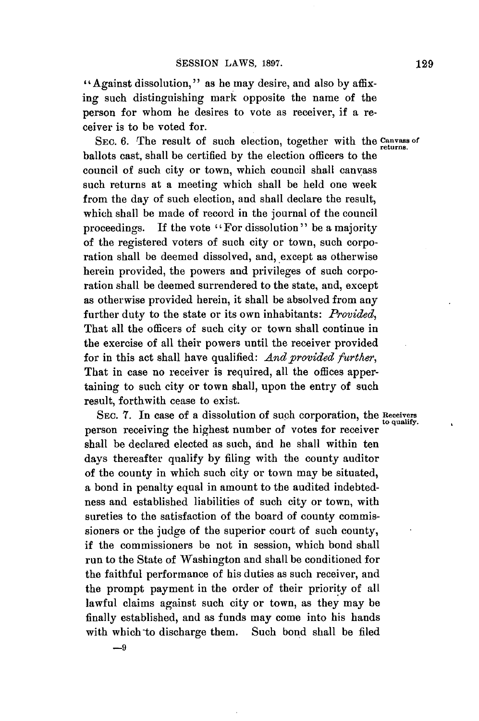" Against dissolution, **"** as he may desire, and also **by** affixing such distinguishing mark opposite the name of the person for whom he desires to vote as receiver, if a receiver is to be voted for.

SEC. 6. The result of such election, together with the Canvass of ballots cast, shall be certified **by** the election officers to the council of such city or town, which council shall canvass such returns at a meeting which shall be held one week from the day of such election, and shall declare the result, which shall be made of record in the journal of the council proceedings. If the vote "For dissolution" be a majority of the registered voters of such city or town, such corporation shall be deemed dissolved, and, except as otherwise herein provided, the powers and privileges of such corporation shall be deemed surrendered to the state, and, except as otherwise provided herein, it shall be absolved from any further duty to the state or its own inhabitants: *Provided,* That all the officers of such city or town shall continue in the exercise of all their powers until the receiver provided for in this act shall have qualified: *And provided further,* That in case no receiver is required, all the offices appertaining to such city or town shall, upon the entry of such result, forthwith cease to exist.

SEC. 7. In case of a dissolution of such corporation, the Receivers to qualify. person receiving the highest number of votes for receiver shall be declared elected as such, **and** he shall within ten days thereafter qualify **by** filing with the county auditor of the county in which such city or town may be situated, a bond in penalty equal in amount to the audited indebtedness and established liabilities of such city or town, with sureties to the satisfaction of the board of county **commis**sioners or the judge of the superior court of such county, if the commissioners be not in session, which bond shall run to the State of Washington and shall be conditioned for the faithful performance of his duties as such receiver, and the prompt payment in the order of their priority of all lawful claims against such city or town, as they may be finally established, and as funds may come into his hands with which to discharge them. Such bond shall be filed

**-9**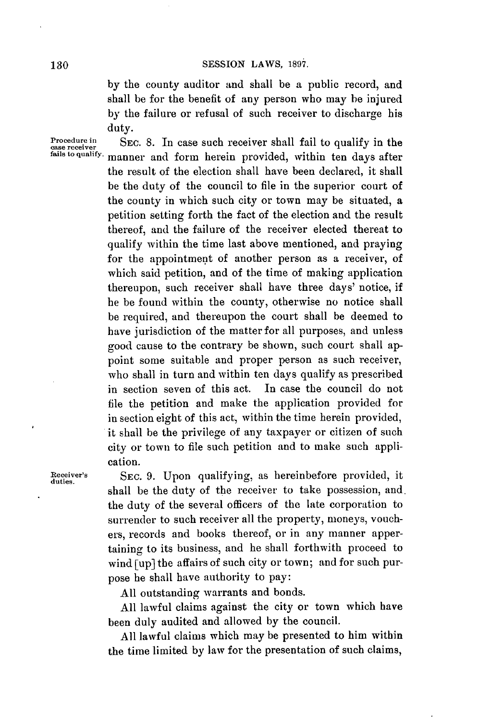**by** the county auditor and shall be a public record, and shall be for the benefit of any person who may be injured **by** the failure or refusal of such receiver to discharge his duty.

**Procedure in** SEC. 8. In case such receiver shall fail to qualify in the case receiver shall fail to qualify in the *fails* to quality. mannon and form beyon provided within top days after manner and form herein provided, within ten days after the result of the election shall have been declared, it shall be the duty of the council to file in the superior court of the county in which such city or town may be situated, a petition setting forth the fact of the election and the result thereof, and the failure of the receiver elected thereat to qualify within the time last above mentioned, and praying for the appointment of another person as a receiver, of which said petition, and of the time of making application thereupon, such receiver shall have three days' notice, if he be found within the county, otherwise no notice shall be required, and thereupon the court shall be deemed to have jurisdiction of the matter for all purposes, and unless good cause to the contrary be shown, such court shall appoint some suitable and proper person as such receiver, who shall in turn and within ten days qualify as prescribed in section seven of this act. In case the council do not file the petition and make the application provided for in section eight of this act, within the time herein provided, it shall be the privilege of any taxpayer or citizen of such city or town to file such petition and to make such application.

**Receiver's** SEC. 9. Upon qualifying, as hereinbefore provided, it duties. shall be the duty of the receiver to take possession, and the duty of the several officers of the late corporation to surrender to such receiver all the property, moneys, vouchers, records and books thereof, or in any manner appertaining to its business, and he shall forthwith proceed to wind [up] the affairs of such city or town; and for such purpose he shall have authority to pay:

**All** outstanding warrants and bonds.

**All** lawful claims against the city or town which have been duly audited and allowed **by** the council.

**All** lawful claims which may be presented to him within the time limited **by** law for the presentation of such claims,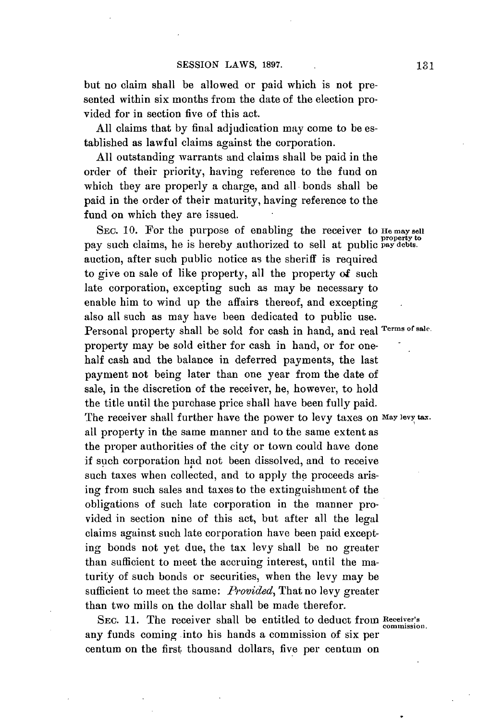but no claim shall be allowed or paid which is not presented within six months from the date of the election provided for in section five of this act.

**All** claims that **by** final adjudication may come to be established as lawful claims against the corporation.

**All** outstanding warrants and claims shall be paid in the order of their priority, having reference to the fund on which they are properly a charge, and all bonds shall be paid in the order of their maturity, having reference to the fund on which they are issued.

SEC. 10. For the purpose of enabling the receiver to He may sell pay such claims, he is hereby authorized to sell at public **pay debts**. auction, after such public notice as the sheriff is required to give on sale of like property, all the property of such late corporation, excepting such as may be necessary to enable him to wind up the affairs thereof, and excepting also all such as may have been dedicated to public use. Personal property shall be sold for cash in hand, and real **Terms of sale.** property may be sold either for cash in hand, or for onehalf cash and the balance in deferred payments, the last payment not being later than one year from the date of sale, in the discretion of the receiver, he, however, to hold the title until the purchase price shall have been fully paid. The receiver shall further have the power to levy taxes **on May levy tax.** all property in the same manner and to the same extent as the proper authorities of the city or town could have done if such corporation **had** not been dissolved, and to receive such taxes when collected, and to apply the proceeds arising from such sales and taxes to the extinguishment of the obligations of such late corporation in the manner provided in section nine of this act, but after all the legal claims against such late corporation have been paid excepting bonds not yet due, the tax levy shall **be** no greater than sufficient to meet the accruing interest, until the maturity of such bonds or securities, when the levy may be sufficient to meet the same: *Provided,* That no levy greater than two mills on the dollar shall be made therefor.

**SEC. 11.** The receiver shall be entitled to deduct from **Receiver's commission.** any funds coming into his hands a commission of six per centum on the first thousand dollars, five per centum on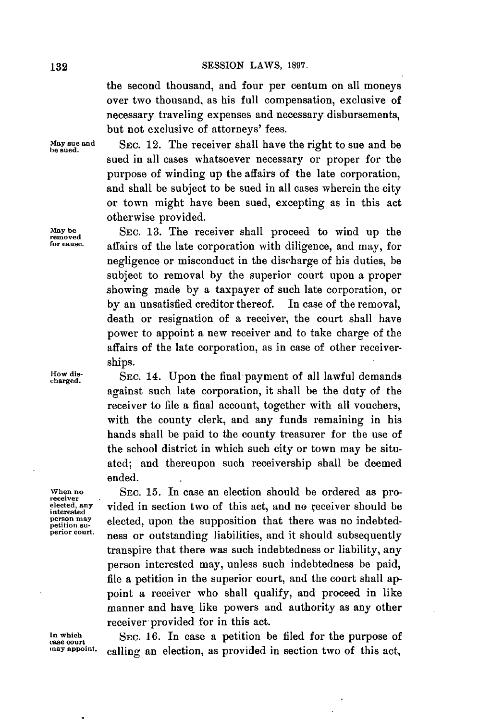the second thousand, and four per centum on all moneys over two thousand, as his full compensation, exclusive of necessary traveling expenses and necessary disbursements, but not exclusive of attorneys' fees.

May sue and SEC. 12. The receiver shall have the right to sue and be sued in all cases whatsoever necessary or proper for the purpose of winding up the affairs of the late corporation, and shall be subject to be sued in all cases wherein the city or town might have been sued, excepting as in this act otherwise provided.

**May be SEC. 13.** The receiver shall proceed to wind up the **removed** affairs of the late corporation with diligence, and may, for negligence or misconduct in the discharge of his duties, be subject to removal **by** the superior court upon a proper showing made **by** a taxpayer of such late corporation, or **by** an unsatisfied creditor thereof. In case of the removal, death or resignation of a receiver, the court shall have power to appoint a new receiver and to take charge of the affairs of the late corporation, as in case of other receiverships.

**How dis- SEC.** 14. Upon the final payment of all lawful demands **charged.** against such late corporation, it shall be the duty of the receiver to file a final account, together with all vouchers, with the county clerk, and any funds remaining in his hands shall be paid to the county treasurer for the use of the school district in which such city or town may be situated; and thereupon such receivership shall be deemed ended.

When no SEC. 15. In case an election should be ordered as pro-<br>
<u>receiver</u><br>
elected, any vided in section two of this act, and no receiver should be elected, any **vided in section two of this act, and no receiver should be** interested<br>person may **elected** upon the supposition that there was no indebted. **person may** elected, upon the supposition that there was no indebted-<br>peritor court. ness or outstanding liabilities, and it should subsequently transpire that there was such indebtedness or liability, any person interested may, unless such indebtedness be paid, file a petition in the superior court, and the court shall appoint a receiver who shall qualify, and proceed in like manner and have like powers and authority as any other receiver provided for in this act.

In which **SEC.** 16. In case a petition be filed for the purpose of the purpose of  $\frac{1}{2}$  in  $\frac{1}{2}$  case court calling an election, as provided in section two of this act,